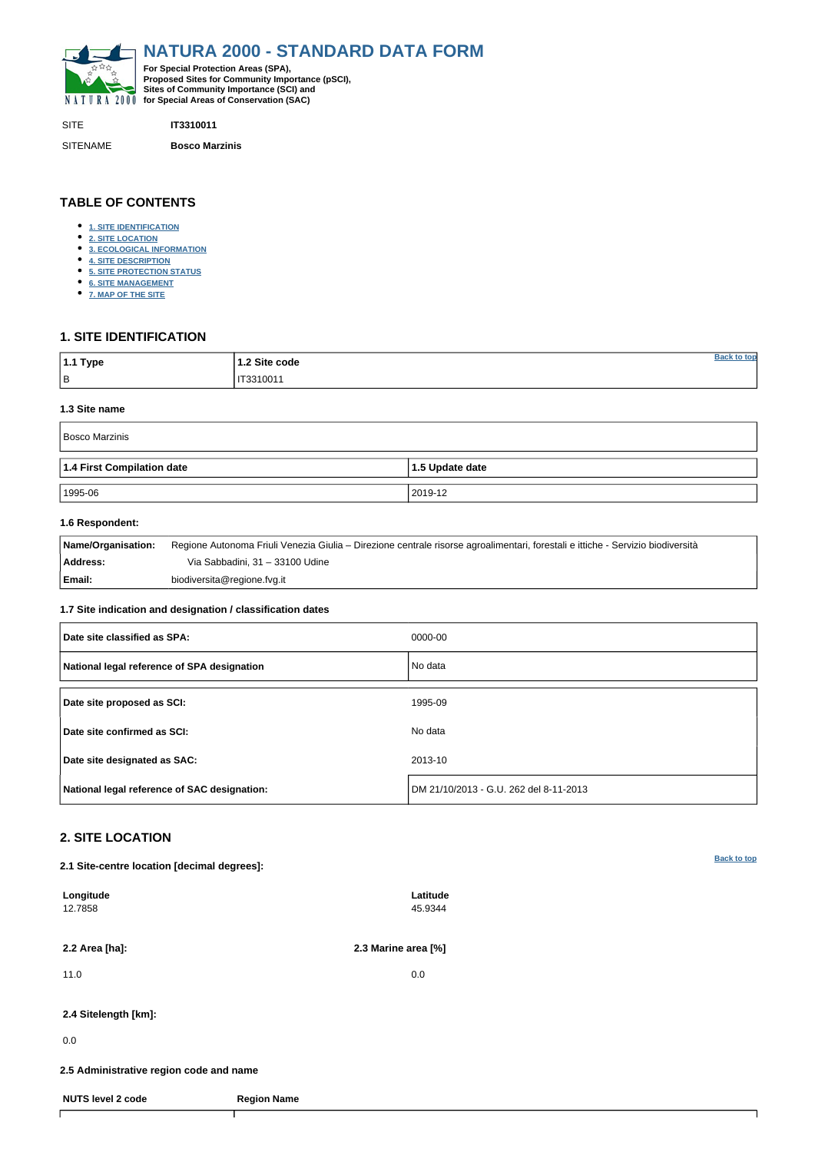<span id="page-0-0"></span>

SITE **IT3310011**

SITENAME **Bosco Marzinis**

| $ 1.1$ Type | 1.2 Site code |  |
|-------------|---------------|--|
| B           | IT3310011     |  |

**TABLE OF CONTENTS**

- **[1. SITE IDENTIFICATION](#page-0-1)**
- **[2. SITE LOCATION](#page-0-2)**
- **[3. ECOLOGICAL INFORMATION](#page-1-0)**
- **[4. SITE DESCRIPTION](#page-2-0)**
- **[5. SITE PROTECTION STATUS](#page-2-1)**
- **[6. SITE MANAGEMENT](#page-3-0)**
- **[7. MAP OF THE SITE](#page-3-1)**

# <span id="page-0-1"></span>**1. SITE IDENTIFICATION**

### **1.3 Site name**

| Bosco Marzinis             |                 |  |  |  |  |  |  |  |
|----------------------------|-----------------|--|--|--|--|--|--|--|
| 1.4 First Compilation date | 1.5 Update date |  |  |  |  |  |  |  |
| 1995-06                    | 2019-12         |  |  |  |  |  |  |  |

## **1.6 Respondent:**

| Name/Organisation: | Regione Autonoma Friuli Venezia Giulia – Direzione centrale risorse agroalimentari, forestali e ittiche - Servizio biodiversità |
|--------------------|---------------------------------------------------------------------------------------------------------------------------------|
| Address:           | Via Sabbadini, 31 – 33100 Udine                                                                                                 |
| Email:             | biodiversita@regione.fvg.it                                                                                                     |

## **1.7 Site indication and designation / classification dates**

| Date site classified as SPA:                 | 0000-00                                |
|----------------------------------------------|----------------------------------------|
| National legal reference of SPA designation  | No data                                |
| Date site proposed as SCI:                   | 1995-09                                |
| Date site confirmed as SCI:                  | No data                                |
| Date site designated as SAC:                 | 2013-10                                |
| National legal reference of SAC designation: | DM 21/10/2013 - G.U. 262 del 8-11-2013 |

# <span id="page-0-2"></span>**2. SITE LOCATION**

**2.1 Site-centre location [decimal degrees]:**

| Longitude<br>12.7858     |                                         | Latitude<br>45.9344 |  |  |  |  |  |  |  |
|--------------------------|-----------------------------------------|---------------------|--|--|--|--|--|--|--|
| 2.2 Area [ha]:           |                                         | 2.3 Marine area [%] |  |  |  |  |  |  |  |
| 11.0                     |                                         | 0.0                 |  |  |  |  |  |  |  |
| 2.4 Sitelength [km]:     |                                         |                     |  |  |  |  |  |  |  |
| 0.0                      |                                         |                     |  |  |  |  |  |  |  |
|                          | 2.5 Administrative region code and name |                     |  |  |  |  |  |  |  |
| <b>NUTS level 2 code</b> | <b>Region Name</b>                      |                     |  |  |  |  |  |  |  |
|                          |                                         |                     |  |  |  |  |  |  |  |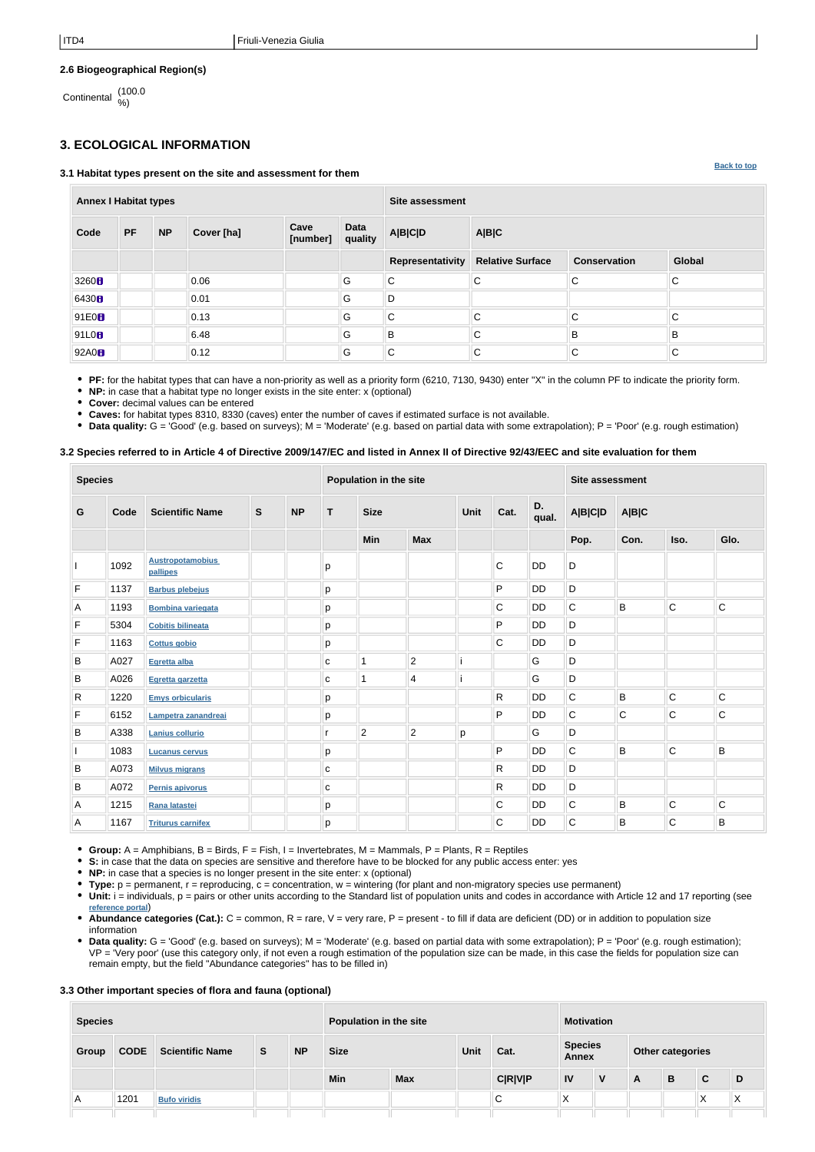**[Back to top](#page-0-0)**

## **2.6 Biogeographical Region(s)**

Continental (100.0 %)

# <span id="page-1-0"></span>**3. ECOLOGICAL INFORMATION**

#### **3.1 Habitat types present on the site and assessment for them**

| <b>Annex I Habitat types</b> |           |           |            |                  |                        | <b>Site assessment</b>  |                         |                     |        |  |
|------------------------------|-----------|-----------|------------|------------------|------------------------|-------------------------|-------------------------|---------------------|--------|--|
| Code                         | <b>PF</b> | <b>NP</b> | Cover [ha] | Cave<br>[number] | <b>Data</b><br>quality | <b>A B C D</b>          | A B C                   |                     |        |  |
|                              |           |           |            |                  |                        | <b>Representativity</b> | <b>Relative Surface</b> | <b>Conservation</b> | Global |  |
| 3260H                        |           |           | 0.06       |                  | G                      | $\mathsf C$             | C                       | C                   | lC.    |  |
| 6430 <b>B</b>                |           |           | 0.01       |                  | G                      | D                       |                         |                     |        |  |
| 91E0 <sup>B</sup>            |           |           | 0.13       |                  | G                      | C.                      | $\mathsf{C}$            | C                   | lC.    |  |
| 91L0 <sub>8</sub>            |           |           | 6.48       |                  | G                      | $\sf B$                 | C                       | B                   | B      |  |
| 92A0H                        |           |           | 0.12       |                  | G                      | $\mathsf C$             | C                       | C                   | lC.    |  |

**PF:** for the habitat types that can have a non-priority as well as a priority form (6210, 7130, 9430) enter "X" in the column PF to indicate the priority form.

**NP:** in case that a habitat type no longer exists in the site enter: x (optional)

**Cover:** decimal values can be entered

**Caves:** for habitat types 8310, 8330 (caves) enter the number of caves if estimated surface is not available.

• Data quality: G = 'Good' (e.g. based on surveys); M = 'Moderate' (e.g. based on partial data with some extrapolation); P = 'Poor' (e.g. rough estimation)

### **3.2 Species referred to in Article 4 of Directive 2009/147/EC and listed in Annex II of Directive 92/43/EEC and site evaluation for them**

| <b>Species</b> |      |                                     | Population in the site |           |             |                |                | <b>Site assessment</b> |              |           |             |             |              |             |                |       |  |  |
|----------------|------|-------------------------------------|------------------------|-----------|-------------|----------------|----------------|------------------------|--------------|-----------|-------------|-------------|--------------|-------------|----------------|-------|--|--|
| G              | Code | <b>Scientific Name</b>              | $\mathbf S$            | <b>NP</b> | T           | <b>Size</b>    |                |                        |              |           |             | Unit        | Cat.         | D.<br>qual. | <b>A B C D</b> | A B C |  |  |
|                |      |                                     |                        |           |             | Min            | <b>Max</b>     |                        |              |           | Pop.        | Con.        | Iso.         | Glo.        |                |       |  |  |
|                | 1092 | <b>Austropotamobius</b><br>pallipes |                        |           | р           |                |                |                        | C            | <b>DD</b> | D           |             |              |             |                |       |  |  |
| $\mathsf F$    | 1137 | <b>Barbus plebejus</b>              |                        |           | р           |                |                |                        | P            | <b>DD</b> | D           |             |              |             |                |       |  |  |
| $\overline{A}$ | 1193 | <b>Bombina variegata</b>            |                        |           | p           |                |                |                        | C            | DD        | $\mathsf C$ | B           | $\mathsf{C}$ | C           |                |       |  |  |
| $\mathsf F$    | 5304 | <b>Cobitis bilineata</b>            |                        |           | р           |                |                |                        | P            | <b>DD</b> | D           |             |              |             |                |       |  |  |
| F              | 1163 | <b>Cottus gobio</b>                 |                        |           | р           |                |                |                        | C            | <b>DD</b> | D           |             |              |             |                |       |  |  |
| B              | A027 | Egretta alba                        |                        |           | C           |                | $\overline{2}$ |                        |              | G         | D           |             |              |             |                |       |  |  |
| B              | A026 | Egretta garzetta                    |                        |           | $\mathbf C$ | 1              | $\overline{4}$ |                        |              | G         | D           |             |              |             |                |       |  |  |
| $\mathsf{R}$   | 1220 | <b>Emys orbicularis</b>             |                        |           | p           |                |                |                        | R            | <b>DD</b> | C           | B           | $\mathsf{C}$ | $\mathsf C$ |                |       |  |  |
| F              | 6152 | Lampetra zanandreai                 |                        |           | р           |                |                |                        | P            | <b>DD</b> | $\mathsf C$ | $\mathsf C$ | $\mathsf{C}$ | $\mathsf C$ |                |       |  |  |
| $\sf B$        | A338 | <b>Lanius collurio</b>              |                        |           |             | $\overline{c}$ | $\overline{2}$ | р                      |              | G         | D           |             |              |             |                |       |  |  |
|                | 1083 | <b>Lucanus cervus</b>               |                        |           | p           |                |                |                        | P            | <b>DD</b> | C           | B           | $\mathsf{C}$ | B           |                |       |  |  |
| B              | A073 | <b>Milvus migrans</b>               |                        |           | $\mathbf C$ |                |                |                        | R            | <b>DD</b> | D           |             |              |             |                |       |  |  |
| B              | A072 | <b>Pernis apivorus</b>              |                        |           | ${\bf c}$   |                |                |                        | $\mathsf{R}$ | <b>DD</b> | D           |             |              |             |                |       |  |  |
| A              | 1215 | Rana latastei                       |                        |           | р           |                |                |                        | C            | <b>DD</b> | $\mathsf C$ | B           | $\mathsf{C}$ | C           |                |       |  |  |
| A              | 1167 | <b>Triturus carnifex</b>            |                        |           | p           |                |                |                        | C            | DD        | $\mathsf C$ | B           | $\mathsf C$  | B           |                |       |  |  |

**Group:**  $A =$  Amphibians,  $B =$  Birds,  $F =$  Fish,  $I =$  Invertebrates,  $M =$  Mammals,  $P =$  Plants,  $R =$  Reptiles

**S:** in case that the data on species are sensitive and therefore have to be blocked for any public access enter: yes

- **NP:** in case that a species is no longer present in the site enter: x (optional)
- **Type:** p = permanent, r = reproducing, c = concentration, w = wintering (for plant and non-migratory species use permanent)
- Unit: i = individuals, p = pairs or other units according to the Standard list of population units and codes in accordance with Article 12 and 17 reporting (see **[reference portal](http://bd.eionet.europa.eu/activities/Natura_2000/reference_portal)**)
- Abundance categories (Cat.): C = common, R = rare, V = very rare, P = present to fill if data are deficient (DD) or in addition to population size information
- **Data quality:** G = 'Good' (e.g. based on surveys); M = 'Moderate' (e.g. based on partial data with some extrapolation); P = 'Poor' (e.g. rough estimation); VP = 'Very poor' (use this category only, if not even a rough estimation of the population size can be made, in this case the fields for population size can remain empty, but the field "Abundance categories" has to be filled in)

## **3.3 Other important species of flora and fauna (optional)**

| <b>Species</b> |             |                        |          | Population in the site |             |            |      | <b>Motivation</b> |                         |   |                  |   |                   |   |
|----------------|-------------|------------------------|----------|------------------------|-------------|------------|------|-------------------|-------------------------|---|------------------|---|-------------------|---|
| Group          | <b>CODE</b> | <b>Scientific Name</b> | <b>S</b> | <b>NP</b>              | <b>Size</b> |            | Unit | Cat.              | <b>Species</b><br>Annex |   | Other categories |   |                   |   |
|                |             |                        |          |                        | <b>Min</b>  | <b>Max</b> |      | <b>C R V P</b>    | <b>IV</b>               | V | A                | B | C                 | D |
| A.             | 1201        | <b>Bufo viridis</b>    |          |                        |             |            |      | С                 | ∧                       |   |                  |   | $\checkmark$<br>∧ | ⌒ |
|                |             |                        |          |                        |             |            |      |                   |                         |   |                  |   |                   |   |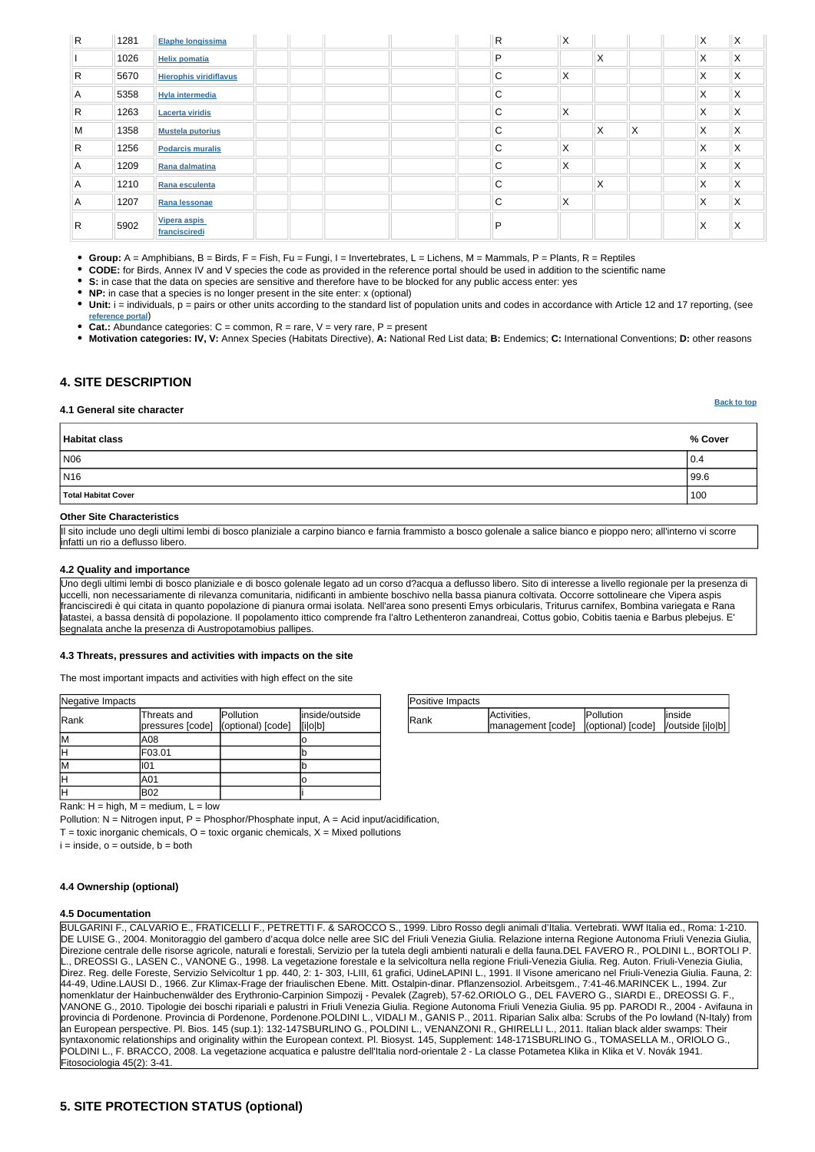| Positive Impacts |                                                          |                   |         |
|------------------|----------------------------------------------------------|-------------------|---------|
| Rank             | Activities,                                              | <b>IPollution</b> | linside |
|                  | management [code]   (optional) [code]   /outside [i o b] |                   |         |

| Negative Impacts |                                 |                                |                           |  |  |  |  |  |  |
|------------------|---------------------------------|--------------------------------|---------------------------|--|--|--|--|--|--|
| Rank             | Threats and<br>pressures [code] | Pollution<br>(optional) [code] | inside/outside<br>[i o b] |  |  |  |  |  |  |
| ١M               | IA08                            |                                |                           |  |  |  |  |  |  |
|                  | F03.01                          |                                |                           |  |  |  |  |  |  |
| IM               | llO1                            |                                |                           |  |  |  |  |  |  |
|                  | A01                             |                                |                           |  |  |  |  |  |  |
|                  | IB02                            |                                |                           |  |  |  |  |  |  |

**[Back to top](#page-0-0)**

Rank:  $H = high$ ,  $M = medium$ ,  $L = low$ 

Pollution:  $N =$  Nitrogen input, P = Phosphor/Phosphate input, A = Acid input/acidification,  $T =$  toxic inorganic chemicals,  $O =$  toxic organic chemicals,  $X =$  Mixed pollutions  $i = inside, o = outside, b = both$ 

| R                       | 1281 | Elaphe longissima             | R            | X            |              |          | Χ  | X                 |
|-------------------------|------|-------------------------------|--------------|--------------|--------------|----------|----|-------------------|
|                         | 1026 | <b>Helix pomatia</b>          | P            |              | X            |          | X  | X                 |
| $\vert R \vert$         | 5670 | <b>Hierophis viridiflavus</b> | C            | $\mathsf{X}$ |              |          | X  | X                 |
| $\overline{A}$          | 5358 | <b>Hyla intermedia</b>        | $\mathsf{C}$ |              |              |          | X  | X                 |
| $\vert R \vert$         | 1263 | <b>Lacerta viridis</b>        | $\mathsf{C}$ | X.           |              |          | X. | X                 |
| M                       | 1358 | <b>Mustela putorius</b>       | $\mathsf{C}$ |              | X            | $\times$ | X  | $\mathsf{\times}$ |
| $\vert R \vert$         | 1256 | <b>Podarcis muralis</b>       | C.           | X.           |              |          | X  | X                 |
| $\overline{A}$          | 1209 | Rana dalmatina                | $\mathsf{C}$ | X            |              |          | X  | X                 |
| $\overline{\mathsf{A}}$ | 1210 | Rana esculenta                | $\mathsf{C}$ |              | $\mathsf{X}$ |          | X  | X                 |
| $\overline{A}$          | 1207 | Rana lessonae                 | C            | X.           |              |          | X  | X                 |
| R                       | 5902 | Vipera aspis<br>francisciredi | P            |              |              |          | X  | X                 |

• Unit: i = individuals, p = pairs or other units according to the standard list of population units and codes in accordance with Article 12 and 17 reporting, (see **[reference portal](http://bd.eionet.europa.eu/activities/Natura_2000/reference_portal)**)

• Cat.: Abundance categories: C = common, R = rare, V = very rare, P = present

**Group:** A = Amphibians, B = Birds, F = Fish, Fu = Fungi, I = Invertebrates, L = Lichens, M = Mammals, P = Plants, R = Reptiles

**CODE:** for Birds, Annex IV and V species the code as provided in the reference portal should be used in addition to the scientific name

**S:** in case that the data on species are sensitive and therefore have to be blocked for any public access enter: yes

**NP:** in case that a species is no longer present in the site enter: x (optional)

**Motivation categories: IV, V:** Annex Species (Habitats Directive), **A:** National Red List data; **B:** Endemics; **C:** International Conventions; **D:** other reasons

# <span id="page-2-0"></span>**4. SITE DESCRIPTION**

#### **4.1 General site character**

| Habitat class       | % Cover |
|---------------------|---------|
| N06                 | 0.4     |
| N <sub>16</sub>     | 99.6    |
| Total Habitat Cover | 100     |

#### **Other Site Characteristics**

Il sito include uno degli ultimi lembi di bosco planiziale a carpino bianco e farnia frammisto a bosco golenale a salice bianco e pioppo nero; all'interno vi scorre infatti un rio a deflusso libero.

#### **4.2 Quality and importance**

Uno degli ultimi lembi di bosco planiziale e di bosco golenale legato ad un corso d?acqua a deflusso libero. Sito di interesse a livello regionale per la presenza di uccelli, non necessariamente di rilevanza comunitaria, nidificanti in ambiente boschivo nella bassa pianura coltivata. Occorre sottolineare che Vipera aspis francisciredi è qui citata in quanto popolazione di pianura ormai isolata. Nell'area sono presenti Emys orbicularis, Triturus carnifex, Bombina variegata e Rana latastei, a bassa densità di popolazione. Il popolamento ittico comprende fra l'altro Lethenteron zanandreai, Cottus gobio, Cobitis taenia e Barbus plebejus. E' segnalata anche la presenza di Austropotamobius pallipes.

#### **4.3 Threats, pressures and activities with impacts on the site**

The most important impacts and activities with high effect on the site

#### **4.5 Documentation**

BULGARINI F., CALVARIO E., FRATICELLI F., PETRETTI F. & SAROCCO S., 1999. Libro Rosso degli animali d'Italia. Vertebrati. WWf Italia ed., Roma: 1-210. DE LUISE G., 2004. Monitoraggio del gambero d'acqua dolce nelle aree SIC del Friuli Venezia Giulia. Relazione interna Regione Autonoma Friuli Venezia Giulia, Direzione centrale delle risorse agricole, naturali e forestali, Servizio per la tutela degli ambienti naturali e della fauna.DEL FAVERO R., POLDINI L., BORTOLI P. ., DREOSSI G., LASEN C., VANONE G., 1998. La vegetazione forestale e la selvicoltura nella regione Friuli-Venezia Giulia. Reg. Auton. Friuli-Venezia Giulia, Direz. Reg. delle Foreste, Servizio Selvicoltur 1 pp. 440, 2: 1- 303, I-LIII, 61 grafici, UdineLAPINI L., 1991. Il Visone americano nel Friuli-Venezia Giulia. Fauna, 2: 44-49, Udine.LAUSI D., 1966. Zur Klimax-Frage der friaulischen Ebene. Mitt. Ostalpin-dinar. Pflanzensoziol. Arbeitsgem., 7:41-46.MARINCEK L., 1994. Zur nomenklatur der Hainbuchenwälder des Erythronio-Carpinion Simpozij - Pevalek (Zagreb), 57-62.ORIOLO G., DEL FAVERO G., SIARDI E., DREOSSI G. F., VANONE G., 2010. Tipologie dei boschi ripariali e palustri in Friuli Venezia Giulia. Regione Autonoma Friuli Venezia Giulia. 95 pp. PARODI R., 2004 - Avifauna in provincia di Pordenone. Provincia di Pordenone, Pordenone.POLDINI L., VIDALI M., GANIS P., 2011. Riparian Salix alba: Scrubs of the Po lowland (N-Italy) from an European perspective. Pl. Bios. 145 (sup.1): 132-147SBURLINO G., POLDINI L., VENANZONI R., GHIRELLI L., 2011. Italian black alder swamps: Their syntaxonomic relationships and originality within the European context. Pl. Biosyst. 145, Supplement: 148-171SBURLINO G., TOMASELLA M., ORIOLO G., POLDINI L., F. BRACCO, 2008. La vegetazione acquatica e palustre dell'Italia nord-orientale 2 - La classe Potametea Klika in Klika et V. Novák 1941. Fitosociologia 45(2): 3-41.

# <span id="page-2-1"></span>**5. SITE PROTECTION STATUS (optional)**